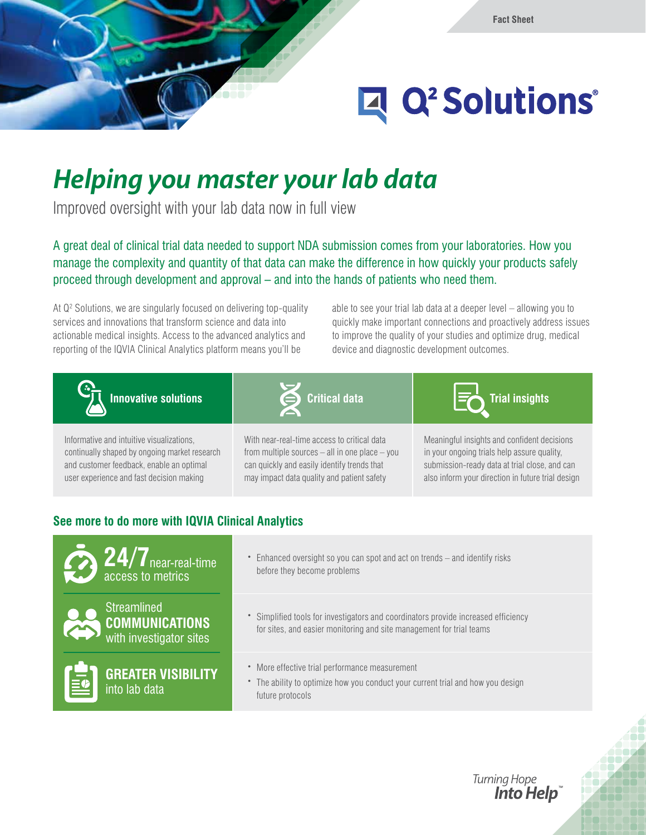# **Q<sup>2</sup> Solutions**®

# *Helping you master your lab data*

Improved oversight with your lab data now in full view

A great deal of clinical trial data needed to support NDA submission comes from your laboratories. How you manage the complexity and quantity of that data can make the difference in how quickly your products safely proceed through development and approval – and into the hands of patients who need them.

At Q<sup>2</sup> Solutions, we are singularly focused on delivering top-quality services and innovations that transform science and data into actionable medical insights. Access to the advanced analytics and reporting of the IQVIA Clinical Analytics platform means you'll be

able to see your trial lab data at a deeper level – allowing you to quickly make important connections and proactively address issues to improve the quality of your studies and optimize drug, medical device and diagnostic development outcomes.



from multiple sources – all in one place – you can quickly and easily identify trends that may impact data quality and patient safety

in your ongoing trials help assure quality, submission-ready data at trial close, and can also inform your direction in future trial design

Turning Hope

**Into Help** 

#### **See more to do more with IQVIA Clinical Analytics**

continually shaped by ongoing market research and customer feedback, enable an optimal user experience and fast decision making